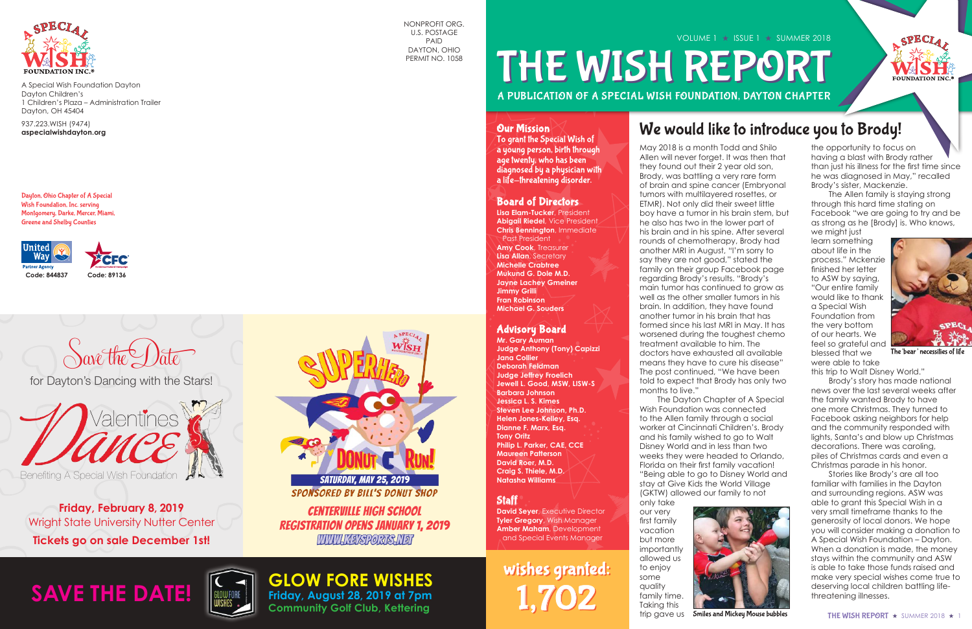

A Special Wish Foundation Dayton Dayton Children's 1 Children's Plaza – Administration Trailer Dayton, OH 45404

937.223.WISH (9474) **aspecialwishdayton.org**

Dayton, Ohio Chapter of A Special Wish Foundation, Inc. serving Montgomery, Darke, Mercer, Miami, Greene and Shelby Counties

### Board of Directors

**Lisa Elam-Tucker**, President **Abigail Riedel**, Vice President **Chris Bennington**, Immediate Past President **Amy Cook**, Treasurer **Lisa Allan**, Secretary **Michelle Crabtree Mukund G. Dole M.D. Jayne Lachey Gmeiner Jimmy Grilli Fran Robinson Michael G. Souders**

**David Seyer**, Executive Director **Tyler Gregory**, Wish Manager **Amber Maham**, Development and Special Events Manager

## Advisory Board

**Mr. Gary Auman Judge Anthony (Tony) Capizzi Jana Collier Deborah Feldman Judge Jeffrey Froelich Jewell L. Good, MSW, LISW-S Barbara Johnson Jessica L. S. Kimes Steven Lee Johnson, Ph.D. Helen Jones-Kelley, Esq. Dianne F. Marx, Esq. Tony Oritz Philip L. Parker, CAE, CCE Maureen Patterson David Roer, M.D. Craig S. Thiele, M.D. Natasha Williams**

# Staff

### Our Mission

To grant the Special Wish of a young person, birth through age twenty, who has been diagnosed by a physician with a life-threatening disorder.

centerville high school REGISTRATION opens january 1, 2019 www.keysports.net

**GLOW FORE WISHES Friday, August 28, 2019 at 7pm Community Golf Club, Kettering**

# **SAVE THE DATE!**





 $S$ ave the

**Friday, February 8, 2019 Wright State University Nutter Center Tickets go on sale December 1st!**

for Dayton's Dancing with the Stars!



May 2018 is a month Todd and Shilo Allen will never forget. It was then that they found out their 2 year old son, Brody, was battling a very rare form of brain and spine cancer (Embryonal tumors with multilayered rosettes, or ETMR). Not only did their sweet little boy have a tumor in his brain stem, but he also has two in the lower part of his brain and in his spine. After several rounds of chemotherapy, Brody had another MRI in August, "I'm sorry to say they are not good," stated the family on their group Facebook page regarding Brody's results. "Brody's main tumor has continued to grow as well as the other smaller tumors in his brain. In addition, they have found another tumor in his brain that has formed since his last MRI in May. It has worsened during the toughest chemo treatment available to him. The doctors have exhausted all available means they have to cure his disease" The post continued, "We have been told to expect that Brody has only two months to live."

A PUBLICATION OF A SPECIAL WISH FOUNDATION, DAYTON CHAPTER VOLUME 1 ★ ISSUE 1 ★ SUMMER 2018 THE WISH REPORT

> The Dayton Chapter of A Special Wish Foundation was connected to the Allen family through a social worker at Cincinnati Children's. Brody and his family wished to go to Walt Disney World and in less than two weeks they were headed to Orlando, Florida on their first family vacation! "Being able to go to Disney World and stay at Give Kids the World Village (GKTW) allowed our family to not

only take our very first family vacation but more importantly allowed us to enjoy some quality family time. Taking this trip gave us



the opportunity to focus on having a blast with Brody rather than just his illness for the first time since he was diagnosed in May," recalled Brody's sister, Mackenzie.

 The Allen family is staying strong through this hard time stating on Facebook "we are going to try and be as strong as he [Brody] is. Who knows,

we might just learn something about life in the process." Mckenzie finished her letter to ASW by saying, "Our entire family would like to thank a Special Wish Foundation from the very bottom of our hearts. We feel so grateful and blessed that we were able to take

this trip to Walt Disney World."

 Brody's story has made national news over the last several weeks after the family wanted Brody to have one more Christmas. They turned to Facebook asking neighbors for help and the community responded with lights, Santa's and blow up Christmas decorations. There was caroling, piles of Christmas cards and even a Christmas parade in his honor.

 Stories like Brody's are all too familiar with families in the Dayton and surrounding regions. ASW was able to grant this Special Wish in a very small timeframe thanks to the generosity of local donors. We hope you will consider making a donation to A Special Wish Foundation – Dayton. When a donation is made, the money stays within the community and ASW is able to take those funds raised and make very special wishes come true to deserving local children battling lifethreatening illnesses.

NONPROFIT ORG. U.S. POSTAGE PAID DAYTON, OHIO PERMIT NO. 1058





The 'bear' necessities of life



Smiles and Mickey Mouse bubbles

# We would like to introduce you to Brody!

wishes granted: wishes granted: 1,702 1,702